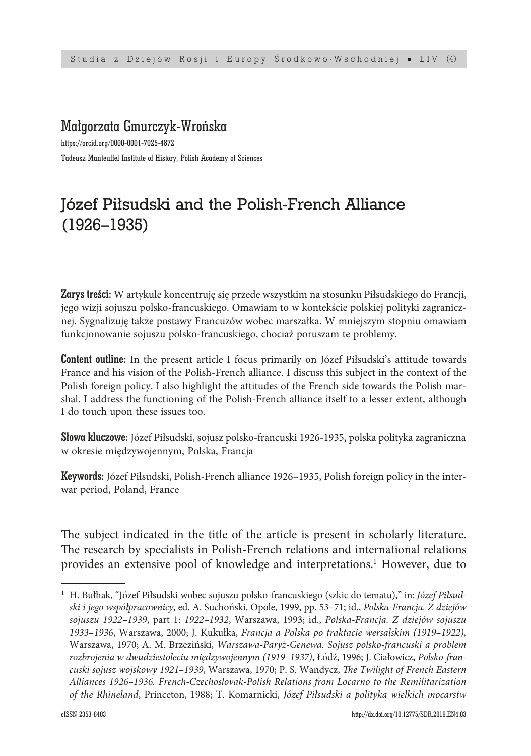### Małgorzata Gmurczyk-Wrońska

https://orcid.org/0000-0001-7025-4872 Tadeusz Manteuffel Institute of History, Polish Academy of Sciences

# Józef Piłsudski and the Polish-French Alliance (1926–1935)

Zarys treści: W artykule koncentruję się przede wszystkim na stosunku Piłsudskiego do Francji, jego wizji sojuszu polsko-francuskiego. Omawiam to w kontekście polskiej polityki zagranicznej. Sygnalizuję także postawy Francuzów wobec marszałka. W mniejszym stopniu omawiam funkcjonowanie sojuszu polsko-francuskiego, chociaż poruszam te problemy.

Content outline: In the present article I focus primarily on Józef Piłsudski's attitude towards France and his vision of the Polish-French alliance. I discuss this subject in the context of the Polish foreign policy. I also highlight the attitudes of the French side towards the Polish marshal. I address the functioning of the Polish-French alliance itself to a lesser extent, although I do touch upon these issues too.

Słowa kluczowe: Józef Piłsudski, sojusz polsko-francuski 1926-1935, polska polityka zagraniczna w okresie międzywojennym, Polska, Francja

Keywords: Józef Piłsudski, Polish-French alliance 1926–1935, Polish foreign policy in the interwar period, Poland, France

The subject indicated in the title of the article is present in scholarly literature. The research by specialists in Polish-French relations and international relations provides an extensive pool of knowledge and interpretations.<sup>1</sup> However, due to

<sup>1</sup> H. Bułhak, "Józef Piłsudski wobec sojuszu polsko-francuskiego (szkic do tematu)," in: *Józef Piłsudski i jego współpracownicy*, ed. A. Suchoński, Opole, 1999, pp. 53–71; id., *Polska-Francja. Z dziejów sojuszu 1922–1939*, part 1: *1922–1932*, Warszawa, 1993; id., *Polska-Francja. Z dziejów sojuszu 1933–1936*, Warszawa, 2000; J. Kukułka, *Francja a Polska po traktacie wersalskim (1919–1922),* Warszawa, 1970; A. M. Brzeziński, *Warszawa-Paryż-Genewa. Sojusz polsko-francuski a problem rozbrojenia w dwudziestoleciu międzywojennym (1919–1937)*, Łódź, 1996; J. Ciałowicz, *Polsko-francuski sojusz wojskowy 1921–1939*, Warszawa, 1970; P. S. Wandycz, *The Twilight of French Eastern Alliances 1926–1936. French-Czechoslovak-Polish Relations from Locarno to the Remilitarization of the Rhineland*, Princeton, 1988; T. Komarnicki, *Józef Piłsudski a polityka wielkich mocarstw*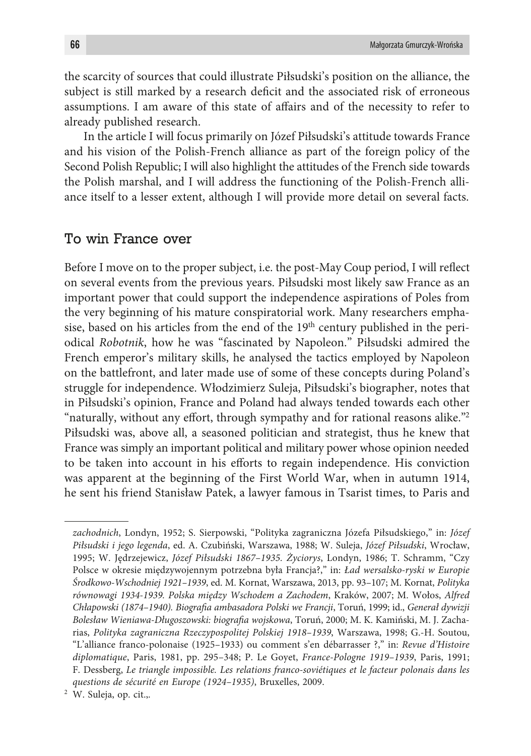the scarcity of sources that could illustrate Piłsudski's position on the alliance, the subject is still marked by a research deficit and the associated risk of erroneous assumptions. I am aware of this state of affairs and of the necessity to refer to already published research.

In the article I will focus primarily on Józef Piłsudski's attitude towards France and his vision of the Polish-French alliance as part of the foreign policy of the Second Polish Republic; I will also highlight the attitudes of the French side towards the Polish marshal, and I will address the functioning of the Polish-French alliance itself to a lesser extent, although I will provide more detail on several facts.

#### To win France over

Before I move on to the proper subject, i.e. the post-May Coup period, I will reflect on several events from the previous years. Piłsudski most likely saw France as an important power that could support the independence aspirations of Poles from the very beginning of his mature conspiratorial work. Many researchers emphasise, based on his articles from the end of the  $19<sup>th</sup>$  century published in the periodical *Robotnik*, how he was "fascinated by Napoleon." Piłsudski admired the French emperor's military skills, he analysed the tactics employed by Napoleon on the battlefront, and later made use of some of these concepts during Poland's struggle for independence. Włodzimierz Suleja, Piłsudski's biographer, notes that in Piłsudski's opinion, France and Poland had always tended towards each other "naturally, without any effort, through sympathy and for rational reasons alike."2 Piłsudski was, above all, a seasoned politician and strategist, thus he knew that France was simply an important political and military power whose opinion needed to be taken into account in his efforts to regain independence. His conviction was apparent at the beginning of the First World War, when in autumn 1914, he sent his friend Stanisław Patek, a lawyer famous in Tsarist times, to Paris and

*zachodnich*, Londyn, 1952; S. Sierpowski, "Polityka zagraniczna Józefa Piłsudskiego," in: *Józef Piłsudski i jego legenda*, ed. A. Czubiński, Warszawa, 1988; W. Suleja, *Józef Piłsudski*, Wrocław, 1995; W. Jędrzejewicz, *Józef Piłsudski 1867–1935. Życiorys*, Londyn, 1986; T. Schramm, "Czy Polsce w okresie międzywojennym potrzebna była Francja?," in: *Ład wersalsko-ryski w Europie Środkowo-Wschodniej 1921–1939*, ed. M. Kornat, Warszawa, 2013, pp. 93–107; M. Kornat, *Polityka równowagi 1934-1939. Polska między Wschodem a Zachodem*, Kraków, 2007; M. Wołos, *Alfred Chłapowski (1874–1940). Biografia ambasadora Polski we Francji*, Toruń, 1999; id., *Generał dywizji Bolesław Wieniawa-Długoszowski: biografia wojskowa*, Toruń, 2000; M. K. Kamiński, M. J. Zacharias, *Polityka zagraniczna Rzeczypospolitej Polskiej 1918–1939*, Warszawa, 1998; G.-H. Soutou, "L'alliance franco-polonaise (1925–1933) ou comment s'en débarrasser ?," in: *Revue d'Histoire diplomatique*, Paris, 1981, pp. 295–348; P. Le Goyet, *France-Pologne 1919–1939*, Paris, 1991; F. Dessberg, *Le triangle impossible. Les relations franco-soviétiques et le facteur polonais dans les questions de sécurité en Europe (1924–1935)*, Bruxelles, 2009.

<sup>2</sup> W. Suleja, op. cit.,.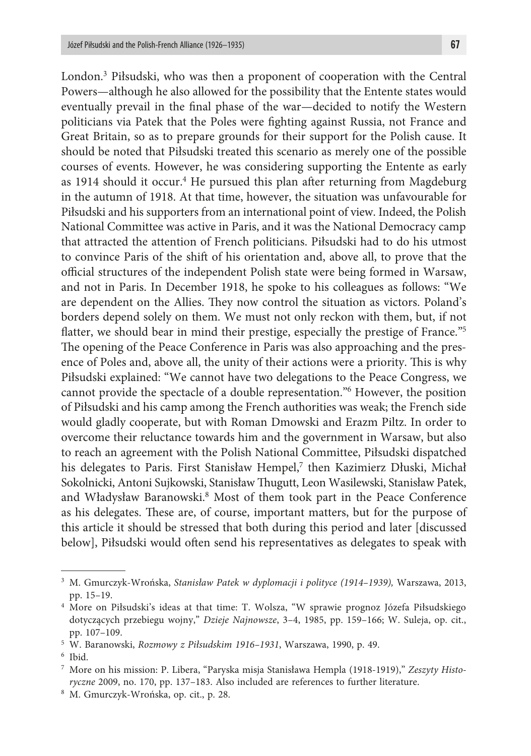London.3 Piłsudski, who was then a proponent of cooperation with the Central Powers—although he also allowed for the possibility that the Entente states would eventually prevail in the final phase of the war—decided to notify the Western politicians via Patek that the Poles were fighting against Russia, not France and Great Britain, so as to prepare grounds for their support for the Polish cause. It should be noted that Piłsudski treated this scenario as merely one of the possible courses of events. However, he was considering supporting the Entente as early as 1914 should it occur.<sup>4</sup> He pursued this plan after returning from Magdeburg in the autumn of 1918. At that time, however, the situation was unfavourable for Piłsudski and his supporters from an international point of view. Indeed, the Polish National Committee was active in Paris, and it was the National Democracy camp that attracted the attention of French politicians. Piłsudski had to do his utmost to convince Paris of the shift of his orientation and, above all, to prove that the official structures of the independent Polish state were being formed in Warsaw, and not in Paris. In December 1918, he spoke to his colleagues as follows: "We are dependent on the Allies. They now control the situation as victors. Poland's borders depend solely on them. We must not only reckon with them, but, if not flatter, we should bear in mind their prestige, especially the prestige of France."5 The opening of the Peace Conference in Paris was also approaching and the presence of Poles and, above all, the unity of their actions were a priority. This is why Piłsudski explained: "We cannot have two delegations to the Peace Congress, we cannot provide the spectacle of a double representation."6 However, the position of Piłsudski and his camp among the French authorities was weak; the French side would gladly cooperate, but with Roman Dmowski and Erazm Piltz. In order to overcome their reluctance towards him and the government in Warsaw, but also to reach an agreement with the Polish National Committee, Piłsudski dispatched his delegates to Paris. First Stanisław Hempel,<sup>7</sup> then Kazimierz Dłuski, Michał Sokolnicki, Antoni Sujkowski, Stanisław Thugutt, Leon Wasilewski, Stanisław Patek, and Władysław Baranowski.<sup>8</sup> Most of them took part in the Peace Conference as his delegates. These are, of course, important matters, but for the purpose of this article it should be stressed that both during this period and later [discussed below], Piłsudski would often send his representatives as delegates to speak with

<sup>3</sup> M. Gmurczyk-Wrońska, *Stanisław Patek w dyplomacji i polityce (1914–1939),* Warszawa, 2013, pp. 15–19.

<sup>4</sup> More on Piłsudski's ideas at that time: T. Wolsza, "W sprawie prognoz Józefa Piłsudskiego dotyczących przebiegu wojny," *Dzieje Najnowsze*, 3–4, 1985, pp. 159–166; W. Suleja, op. cit., pp. 107–109.

<sup>5</sup> W. Baranowski, *Rozmowy z Piłsudskim 1916–1931*, Warszawa, 1990, p. 49.

<sup>6</sup> Ibid.

<sup>7</sup> More on his mission: P. Libera, "Paryska misja Stanisława Hempla (1918-1919)," *Zeszyty Historyczne* 2009, no. 170, pp. 137–183. Also included are references to further literature.

<sup>8</sup> M. Gmurczyk-Wrońska, op. cit., p. 28.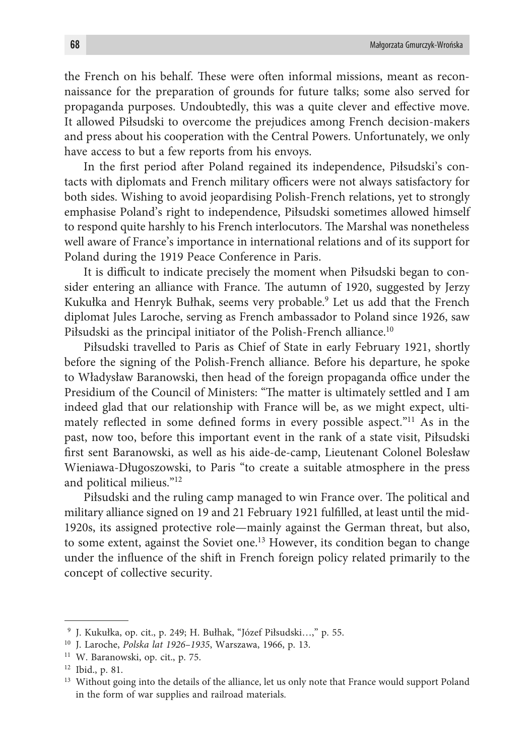the French on his behalf. These were often informal missions, meant as reconnaissance for the preparation of grounds for future talks; some also served for propaganda purposes. Undoubtedly, this was a quite clever and effective move. It allowed Piłsudski to overcome the prejudices among French decision-makers and press about his cooperation with the Central Powers. Unfortunately, we only have access to but a few reports from his envoys.

In the first period after Poland regained its independence, Piłsudski's contacts with diplomats and French military officers were not always satisfactory for both sides. Wishing to avoid jeopardising Polish-French relations, yet to strongly emphasise Poland's right to independence, Piłsudski sometimes allowed himself to respond quite harshly to his French interlocutors. The Marshal was nonetheless well aware of France's importance in international relations and of its support for Poland during the 1919 Peace Conference in Paris.

It is difficult to indicate precisely the moment when Piłsudski began to consider entering an alliance with France. The autumn of 1920, suggested by Jerzy Kukułka and Henryk Bułhak, seems very probable.9 Let us add that the French diplomat Jules Laroche, serving as French ambassador to Poland since 1926, saw Piłsudski as the principal initiator of the Polish-French alliance.<sup>10</sup>

Piłsudski travelled to Paris as Chief of State in early February 1921, shortly before the signing of the Polish-French alliance. Before his departure, he spoke to Władysław Baranowski, then head of the foreign propaganda office under the Presidium of the Council of Ministers: "The matter is ultimately settled and I am indeed glad that our relationship with France will be, as we might expect, ultimately reflected in some defined forms in every possible aspect."<sup>11</sup> As in the past, now too, before this important event in the rank of a state visit, Piłsudski first sent Baranowski, as well as his aide-de-camp, Lieutenant Colonel Bolesław Wieniawa-Długoszowski, to Paris "to create a suitable atmosphere in the press and political milieus."12

Piłsudski and the ruling camp managed to win France over. The political and military alliance signed on 19 and 21 February 1921 fulfilled, at least until the mid-1920s, its assigned protective role—mainly against the German threat, but also, to some extent, against the Soviet one.<sup>13</sup> However, its condition began to change under the influence of the shift in French foreign policy related primarily to the concept of collective security.

<sup>9</sup> J. Kukułka, op. cit., p. 249; H. Bułhak, "Józef Piłsudski…," p. 55.

<sup>10</sup> J. Laroche, *Polska lat 1926–1935*, Warszawa, 1966, p. 13.

<sup>11</sup> W. Baranowski, op. cit., p. 75.

<sup>12</sup> Ibid., p. 81.

<sup>&</sup>lt;sup>13</sup> Without going into the details of the alliance, let us only note that France would support Poland in the form of war supplies and railroad materials.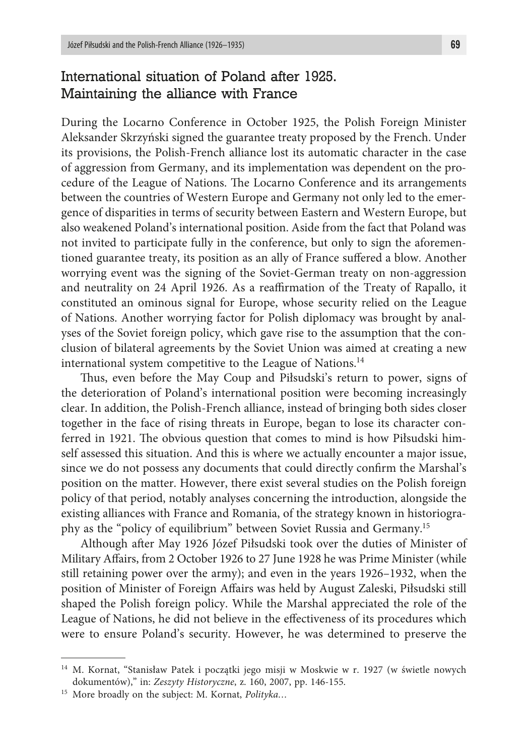# International situation of Poland after 1925. Maintaining the alliance with France

During the Locarno Conference in October 1925, the Polish Foreign Minister Aleksander Skrzyński signed the guarantee treaty proposed by the French. Under its provisions, the Polish-French alliance lost its automatic character in the case of aggression from Germany, and its implementation was dependent on the procedure of the League of Nations. The Locarno Conference and its arrangements between the countries of Western Europe and Germany not only led to the emergence of disparities in terms of security between Eastern and Western Europe, but also weakened Poland's international position. Aside from the fact that Poland was not invited to participate fully in the conference, but only to sign the aforementioned guarantee treaty, its position as an ally of France suffered a blow. Another worrying event was the signing of the Soviet-German treaty on non-aggression and neutrality on 24 April 1926. As a reaffirmation of the Treaty of Rapallo, it constituted an ominous signal for Europe, whose security relied on the League of Nations. Another worrying factor for Polish diplomacy was brought by analyses of the Soviet foreign policy, which gave rise to the assumption that the conclusion of bilateral agreements by the Soviet Union was aimed at creating a new international system competitive to the League of Nations.14

Thus, even before the May Coup and Piłsudski's return to power, signs of the deterioration of Poland's international position were becoming increasingly clear. In addition, the Polish-French alliance, instead of bringing both sides closer together in the face of rising threats in Europe, began to lose its character conferred in 1921. The obvious question that comes to mind is how Piłsudski himself assessed this situation. And this is where we actually encounter a major issue, since we do not possess any documents that could directly confirm the Marshal's position on the matter. However, there exist several studies on the Polish foreign policy of that period, notably analyses concerning the introduction, alongside the existing alliances with France and Romania, of the strategy known in historiography as the "policy of equilibrium" between Soviet Russia and Germany.15

Although after May 1926 Józef Piłsudski took over the duties of Minister of Military Affairs, from 2 October 1926 to 27 June 1928 he was Prime Minister (while still retaining power over the army); and even in the years 1926–1932, when the position of Minister of Foreign Affairs was held by August Zaleski, Piłsudski still shaped the Polish foreign policy. While the Marshal appreciated the role of the League of Nations, he did not believe in the effectiveness of its procedures which were to ensure Poland's security. However, he was determined to preserve the

<sup>14</sup> M. Kornat, "Stanisław Patek i początki jego misji w Moskwie w r. 1927 (w świetle nowych dokumentów)," in: *Zeszyty Historyczne*, z. 160, 2007, pp. 146-155.

<sup>15</sup> More broadly on the subject: M. Kornat, *Polityka…*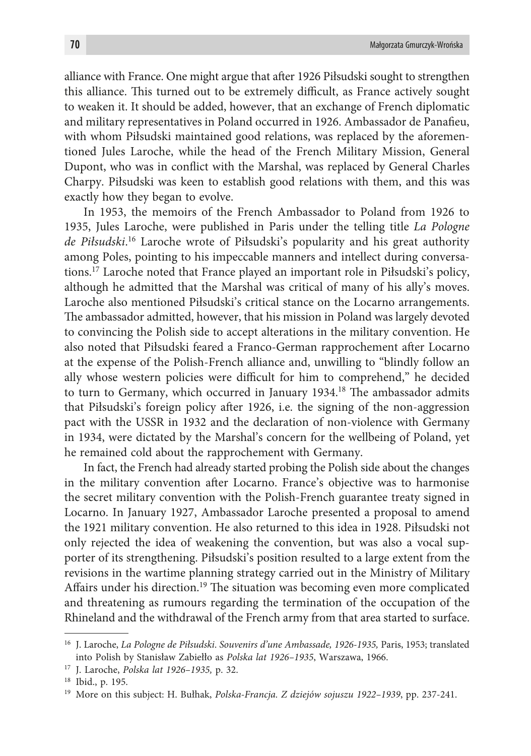alliance with France. One might argue that after 1926 Piłsudski sought to strengthen this alliance. This turned out to be extremely difficult, as France actively sought to weaken it. It should be added, however, that an exchange of French diplomatic and military representatives in Poland occurred in 1926. Ambassador de Panafieu, with whom Piłsudski maintained good relations, was replaced by the aforementioned Jules Laroche, while the head of the French Military Mission, General Dupont, who was in conflict with the Marshal, was replaced by General Charles Charpy. Piłsudski was keen to establish good relations with them, and this was exactly how they began to evolve.

In 1953, the memoirs of the French Ambassador to Poland from 1926 to 1935, Jules Laroche, were published in Paris under the telling title *La Pologne de Piłsudski*. 16 Laroche wrote of Piłsudski's popularity and his great authority among Poles, pointing to his impeccable manners and intellect during conversations.17 Laroche noted that France played an important role in Piłsudski's policy, although he admitted that the Marshal was critical of many of his ally's moves. Laroche also mentioned Piłsudski's critical stance on the Locarno arrangements. The ambassador admitted, however, that his mission in Poland was largely devoted to convincing the Polish side to accept alterations in the military convention. He also noted that Piłsudski feared a Franco-German rapprochement after Locarno at the expense of the Polish-French alliance and, unwilling to "blindly follow an ally whose western policies were difficult for him to comprehend," he decided to turn to Germany, which occurred in January 1934.<sup>18</sup> The ambassador admits that Piłsudski's foreign policy after 1926, i.e. the signing of the non-aggression pact with the USSR in 1932 and the declaration of non-violence with Germany in 1934, were dictated by the Marshal's concern for the wellbeing of Poland, yet he remained cold about the rapprochement with Germany.

In fact, the French had already started probing the Polish side about the changes in the military convention after Locarno. France's objective was to harmonise the secret military convention with the Polish-French guarantee treaty signed in Locarno. In January 1927, Ambassador Laroche presented a proposal to amend the 1921 military convention. He also returned to this idea in 1928. Piłsudski not only rejected the idea of weakening the convention, but was also a vocal supporter of its strengthening. Piłsudski's position resulted to a large extent from the revisions in the wartime planning strategy carried out in the Ministry of Military Affairs under his direction.19 The situation was becoming even more complicated and threatening as rumours regarding the termination of the occupation of the Rhineland and the withdrawal of the French army from that area started to surface.

<sup>16</sup> J. Laroche, *La Pologne de Piłsudski*. *Souvenirs d'une Ambassade, 1926-1935,* Paris, 1953; translated into Polish by Stanisław Zabiełło as *Polska lat 1926–1935*, Warszawa, 1966.

<sup>17</sup> J. Laroche, *Polska lat 1926–1935,* p. 32.

<sup>18</sup> Ibid., p. 195.

<sup>19</sup> More on this subject: H. Bułhak, *Polska-Francja. Z dziejów sojuszu 1922–1939*, pp. 237-241.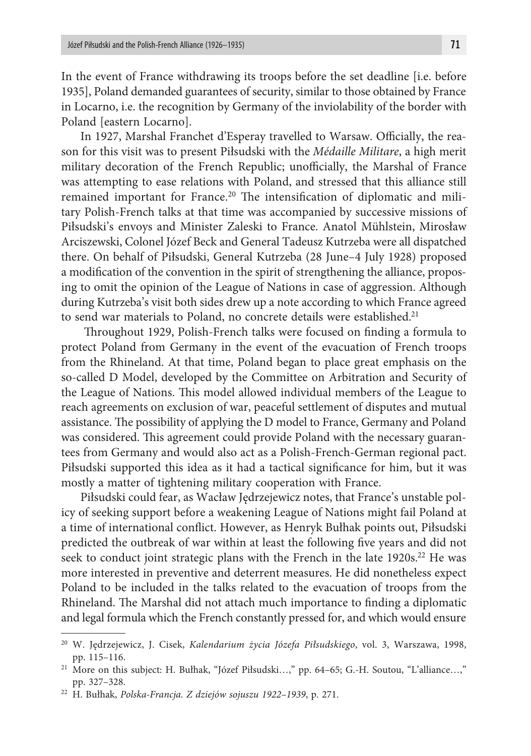In the event of France withdrawing its troops before the set deadline [i.e. before 1935], Poland demanded guarantees of security, similar to those obtained by France in Locarno, i.e. the recognition by Germany of the inviolability of the border with Poland [eastern Locarno].

In 1927, Marshal Franchet d'Esperay travelled to Warsaw. Officially, the reason for this visit was to present Piłsudski with the *Médaille Militare*, a high merit military decoration of the French Republic; unofficially, the Marshal of France was attempting to ease relations with Poland, and stressed that this alliance still remained important for France.<sup>20</sup> The intensification of diplomatic and military Polish-French talks at that time was accompanied by successive missions of Piłsudski's envoys and Minister Zaleski to France. Anatol Mühlstein, Mirosław Arciszewski, Colonel Józef Beck and General Tadeusz Kutrzeba were all dispatched there. On behalf of Piłsudski, General Kutrzeba (28 June–4 July 1928) proposed a modification of the convention in the spirit of strengthening the alliance, proposing to omit the opinion of the League of Nations in case of aggression. Although during Kutrzeba's visit both sides drew up a note according to which France agreed to send war materials to Poland, no concrete details were established.<sup>21</sup>

 Throughout 1929, Polish-French talks were focused on finding a formula to protect Poland from Germany in the event of the evacuation of French troops from the Rhineland. At that time, Poland began to place great emphasis on the so-called D Model, developed by the Committee on Arbitration and Security of the League of Nations. This model allowed individual members of the League to reach agreements on exclusion of war, peaceful settlement of disputes and mutual assistance. The possibility of applying the D model to France, Germany and Poland was considered. This agreement could provide Poland with the necessary guarantees from Germany and would also act as a Polish-French-German regional pact. Piłsudski supported this idea as it had a tactical significance for him, but it was mostly a matter of tightening military cooperation with France.

Piłsudski could fear, as Wacław Jędrzejewicz notes, that France's unstable policy of seeking support before a weakening League of Nations might fail Poland at a time of international conflict. However, as Henryk Bułhak points out, Piłsudski predicted the outbreak of war within at least the following five years and did not seek to conduct joint strategic plans with the French in the late  $1920s^{22}$  He was more interested in preventive and deterrent measures. He did nonetheless expect Poland to be included in the talks related to the evacuation of troops from the Rhineland. The Marshal did not attach much importance to finding a diplomatic and legal formula which the French constantly pressed for, and which would ensure

<sup>20</sup> W. Jędrzejewicz, J. Cisek, *Kalendarium życia Józefa Piłsudskiego*, vol. 3, Warszawa, 1998, pp. 115–116.

<sup>&</sup>lt;sup>21</sup> More on this subject: H. Bułhak, "Józef Piłsudski...," pp. 64-65; G.-H. Soutou, "L'alliance...," pp. 327–328.

<sup>22</sup> H. Bułhak, *Polska-Francja. Z dziejów sojuszu 1922–1939*, p. 271.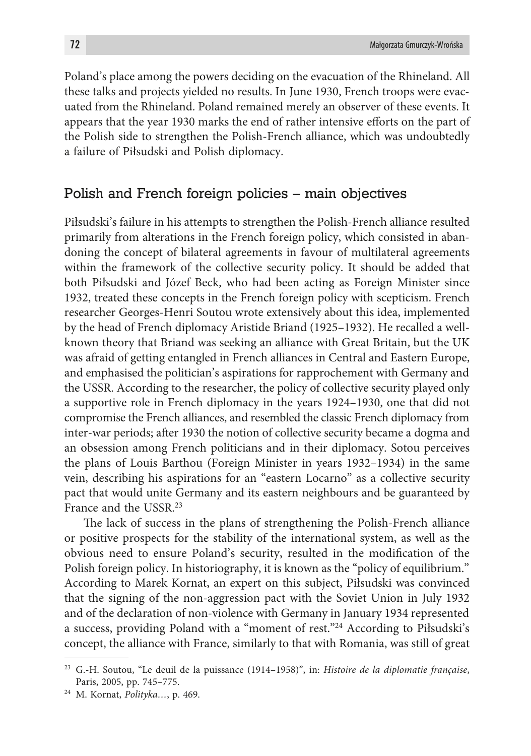Poland's place among the powers deciding on the evacuation of the Rhineland. All these talks and projects yielded no results. In June 1930, French troops were evacuated from the Rhineland. Poland remained merely an observer of these events. It appears that the year 1930 marks the end of rather intensive efforts on the part of the Polish side to strengthen the Polish-French alliance, which was undoubtedly a failure of Piłsudski and Polish diplomacy.

#### Polish and French foreign policies – main objectives

Piłsudski's failure in his attempts to strengthen the Polish-French alliance resulted primarily from alterations in the French foreign policy, which consisted in abandoning the concept of bilateral agreements in favour of multilateral agreements within the framework of the collective security policy. It should be added that both Piłsudski and Józef Beck, who had been acting as Foreign Minister since 1932, treated these concepts in the French foreign policy with scepticism. French researcher Georges-Henri Soutou wrote extensively about this idea, implemented by the head of French diplomacy Aristide Briand (1925–1932). He recalled a wellknown theory that Briand was seeking an alliance with Great Britain, but the UK was afraid of getting entangled in French alliances in Central and Eastern Europe, and emphasised the politician's aspirations for rapprochement with Germany and the USSR. According to the researcher, the policy of collective security played only a supportive role in French diplomacy in the years 1924–1930, one that did not compromise the French alliances, and resembled the classic French diplomacy from inter-war periods; after 1930 the notion of collective security became a dogma and an obsession among French politicians and in their diplomacy. Sotou perceives the plans of Louis Barthou (Foreign Minister in years 1932–1934) in the same vein, describing his aspirations for an "eastern Locarno" as a collective security pact that would unite Germany and its eastern neighbours and be guaranteed by France and the USSR.23

The lack of success in the plans of strengthening the Polish-French alliance or positive prospects for the stability of the international system, as well as the obvious need to ensure Poland's security, resulted in the modification of the Polish foreign policy. In historiography, it is known as the "policy of equilibrium." According to Marek Kornat, an expert on this subject, Piłsudski was convinced that the signing of the non-aggression pact with the Soviet Union in July 1932 and of the declaration of non-violence with Germany in January 1934 represented a success, providing Poland with a "moment of rest."24 According to Piłsudski's concept, the alliance with France, similarly to that with Romania, was still of great

<sup>23</sup> G.-H. Soutou, "Le deuil de la puissance (1914–1958)", in: *Histoire de la diplomatie française*, Paris, 2005, pp. 745–775. 24 M. Kornat, *Polityka…*, p. 469.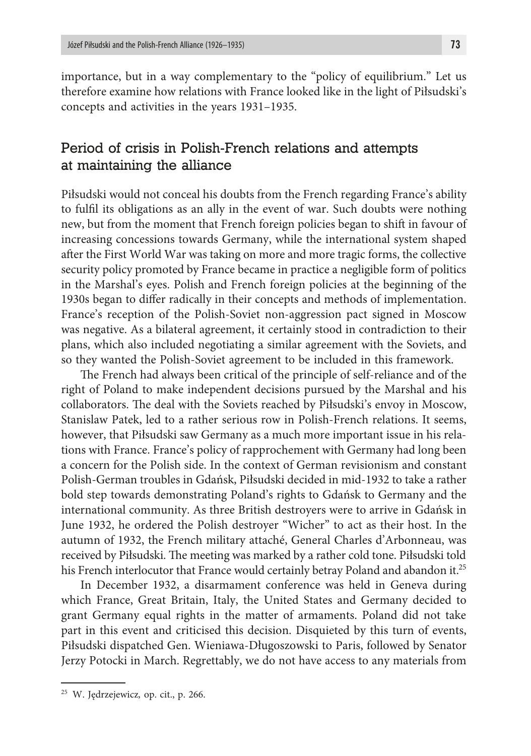importance, but in a way complementary to the "policy of equilibrium." Let us therefore examine how relations with France looked like in the light of Piłsudski's concepts and activities in the years 1931–1935.

## Period of crisis in Polish-French relations and attempts at maintaining the alliance

Piłsudski would not conceal his doubts from the French regarding France's ability to fulfil its obligations as an ally in the event of war. Such doubts were nothing new, but from the moment that French foreign policies began to shift in favour of increasing concessions towards Germany, while the international system shaped after the First World War was taking on more and more tragic forms, the collective security policy promoted by France became in practice a negligible form of politics in the Marshal's eyes. Polish and French foreign policies at the beginning of the 1930s began to differ radically in their concepts and methods of implementation. France's reception of the Polish-Soviet non-aggression pact signed in Moscow was negative. As a bilateral agreement, it certainly stood in contradiction to their plans, which also included negotiating a similar agreement with the Soviets, and so they wanted the Polish-Soviet agreement to be included in this framework.

The French had always been critical of the principle of self-reliance and of the right of Poland to make independent decisions pursued by the Marshal and his collaborators. The deal with the Soviets reached by Piłsudski's envoy in Moscow, Stanislaw Patek, led to a rather serious row in Polish-French relations. It seems, however, that Piłsudski saw Germany as a much more important issue in his relations with France. France's policy of rapprochement with Germany had long been a concern for the Polish side. In the context of German revisionism and constant Polish-German troubles in Gdańsk, Piłsudski decided in mid-1932 to take a rather bold step towards demonstrating Poland's rights to Gdańsk to Germany and the international community. As three British destroyers were to arrive in Gdańsk in June 1932, he ordered the Polish destroyer "Wicher" to act as their host. In the autumn of 1932, the French military attaché, General Charles d'Arbonneau, was received by Piłsudski. The meeting was marked by a rather cold tone. Piłsudski told his French interlocutor that France would certainly betray Poland and abandon it.<sup>25</sup>

In December 1932, a disarmament conference was held in Geneva during which France, Great Britain, Italy, the United States and Germany decided to grant Germany equal rights in the matter of armaments. Poland did not take part in this event and criticised this decision. Disquieted by this turn of events, Piłsudski dispatched Gen. Wieniawa-Długoszowski to Paris, followed by Senator Jerzy Potocki in March. Regrettably, we do not have access to any materials from

<sup>25</sup> W. Jędrzejewicz*,* op. cit., p. 266.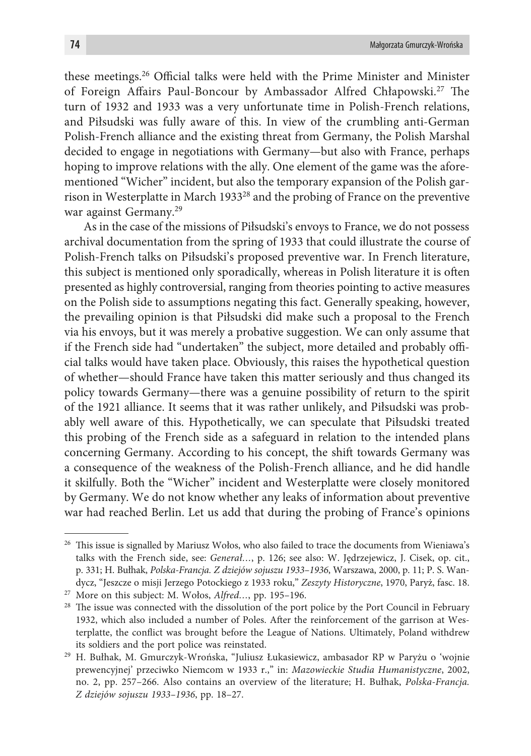these meetings.26 Official talks were held with the Prime Minister and Minister of Foreign Affairs Paul-Boncour by Ambassador Alfred Chłapowski.27 The turn of 1932 and 1933 was a very unfortunate time in Polish-French relations, and Piłsudski was fully aware of this. In view of the crumbling anti-German Polish-French alliance and the existing threat from Germany, the Polish Marshal decided to engage in negotiations with Germany—but also with France, perhaps hoping to improve relations with the ally. One element of the game was the aforementioned "Wicher" incident, but also the temporary expansion of the Polish garrison in Westerplatte in March 193328 and the probing of France on the preventive war against Germany.29

As in the case of the missions of Piłsudski's envoys to France, we do not possess archival documentation from the spring of 1933 that could illustrate the course of Polish-French talks on Piłsudski's proposed preventive war. In French literature, this subject is mentioned only sporadically, whereas in Polish literature it is often presented as highly controversial, ranging from theories pointing to active measures on the Polish side to assumptions negating this fact. Generally speaking, however, the prevailing opinion is that Piłsudski did make such a proposal to the French via his envoys, but it was merely a probative suggestion. We can only assume that if the French side had "undertaken" the subject, more detailed and probably official talks would have taken place. Obviously, this raises the hypothetical question of whether—should France have taken this matter seriously and thus changed its policy towards Germany—there was a genuine possibility of return to the spirit of the 1921 alliance. It seems that it was rather unlikely, and Piłsudski was probably well aware of this. Hypothetically, we can speculate that Piłsudski treated this probing of the French side as a safeguard in relation to the intended plans concerning Germany. According to his concept, the shift towards Germany was a consequence of the weakness of the Polish-French alliance, and he did handle it skilfully. Both the "Wicher" incident and Westerplatte were closely monitored by Germany. We do not know whether any leaks of information about preventive war had reached Berlin. Let us add that during the probing of France's opinions

<sup>&</sup>lt;sup>26</sup> This issue is signalled by Mariusz Wołos, who also failed to trace the documents from Wieniawa's talks with the French side, see: *Generał…*, p. 126; see also: W. Jędrzejewicz, J. Cisek, op. cit., p. 331; H. Bułhak, *Polska-Francja. Z dziejów sojuszu 1933–1936*, Warszawa, 2000, p. 11; P. S. Wandycz, "Jeszcze o misji Jerzego Potockiego z 1933 roku," *Zeszyty Historyczne*, 1970, Paryż, fasc. 18.

<sup>&</sup>lt;sup>27</sup> More on this subject: M. Wołos, *Alfred*..., pp. 195–196.<br><sup>28</sup> The issue was connected with the dissolution of the port police by the Port Council in February 1932, which also included a number of Poles. After the reinforcement of the garrison at Westerplatte, the conflict was brought before the League of Nations. Ultimately, Poland withdrew its soldiers and the port police was reinstated.

<sup>29</sup> H. Bułhak, M. Gmurczyk-Wrońska, "Juliusz Łukasiewicz, ambasador RP w Paryżu o 'wojnie prewencyjnej' przeciwko Niemcom w 1933 r.," in: *Mazowieckie Studia Humanistyczne*, 2002, no. 2, pp. 257–266. Also contains an overview of the literature; H. Bułhak, *Polska-Francja. Z dziejów sojuszu 1933–1936*, pp. 18–27.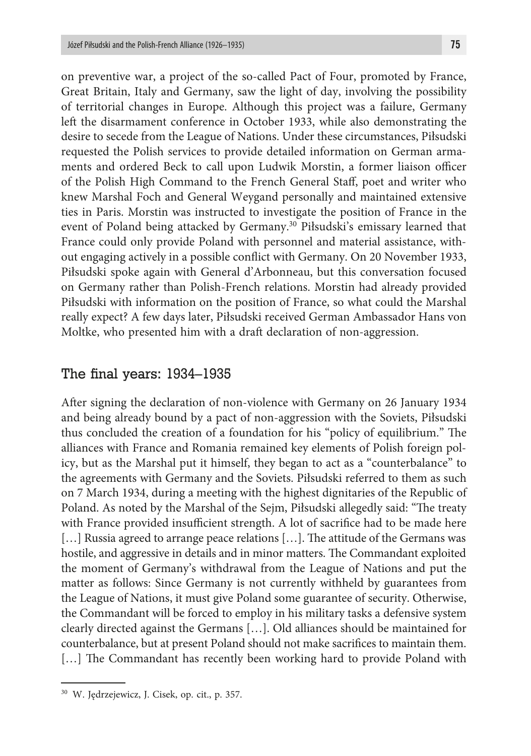on preventive war, a project of the so-called Pact of Four, promoted by France, Great Britain, Italy and Germany, saw the light of day, involving the possibility of territorial changes in Europe. Although this project was a failure, Germany left the disarmament conference in October 1933, while also demonstrating the desire to secede from the League of Nations. Under these circumstances, Piłsudski requested the Polish services to provide detailed information on German armaments and ordered Beck to call upon Ludwik Morstin, a former liaison officer of the Polish High Command to the French General Staff, poet and writer who knew Marshal Foch and General Weygand personally and maintained extensive ties in Paris. Morstin was instructed to investigate the position of France in the event of Poland being attacked by Germany.<sup>30</sup> Piłsudski's emissary learned that France could only provide Poland with personnel and material assistance, without engaging actively in a possible conflict with Germany. On 20 November 1933, Piłsudski spoke again with General d'Arbonneau, but this conversation focused on Germany rather than Polish-French relations. Morstin had already provided Piłsudski with information on the position of France, so what could the Marshal really expect? A few days later, Piłsudski received German Ambassador Hans von Moltke, who presented him with a draft declaration of non-aggression.

#### The final years: 1934–1935

After signing the declaration of non-violence with Germany on 26 January 1934 and being already bound by a pact of non-aggression with the Soviets, Piłsudski thus concluded the creation of a foundation for his "policy of equilibrium." The alliances with France and Romania remained key elements of Polish foreign policy, but as the Marshal put it himself, they began to act as a "counterbalance" to the agreements with Germany and the Soviets. Piłsudski referred to them as such on 7 March 1934, during a meeting with the highest dignitaries of the Republic of Poland. As noted by the Marshal of the Sejm, Piłsudski allegedly said: "The treaty with France provided insufficient strength. A lot of sacrifice had to be made here [...] Russia agreed to arrange peace relations [...]. The attitude of the Germans was hostile, and aggressive in details and in minor matters. The Commandant exploited the moment of Germany's withdrawal from the League of Nations and put the matter as follows: Since Germany is not currently withheld by guarantees from the League of Nations, it must give Poland some guarantee of security. Otherwise, the Commandant will be forced to employ in his military tasks a defensive system clearly directed against the Germans […]. Old alliances should be maintained for counterbalance, but at present Poland should not make sacrifices to maintain them. [...] The Commandant has recently been working hard to provide Poland with

<sup>30</sup> W. Jędrzejewicz, J. Cisek, op. cit., p. 357.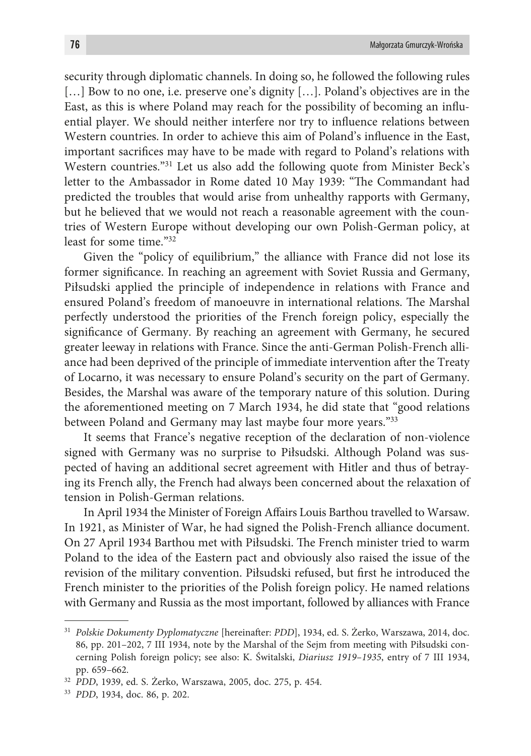security through diplomatic channels. In doing so, he followed the following rules [...] Bow to no one, i.e. preserve one's dignity [...]. Poland's objectives are in the East, as this is where Poland may reach for the possibility of becoming an influential player. We should neither interfere nor try to influence relations between Western countries. In order to achieve this aim of Poland's influence in the East, important sacrifices may have to be made with regard to Poland's relations with Western countries."<sup>31</sup> Let us also add the following quote from Minister Beck's letter to the Ambassador in Rome dated 10 May 1939: "The Commandant had predicted the troubles that would arise from unhealthy rapports with Germany, but he believed that we would not reach a reasonable agreement with the countries of Western Europe without developing our own Polish-German policy, at least for some time." $32$ 

Given the "policy of equilibrium," the alliance with France did not lose its former significance. In reaching an agreement with Soviet Russia and Germany, Piłsudski applied the principle of independence in relations with France and ensured Poland's freedom of manoeuvre in international relations. The Marshal perfectly understood the priorities of the French foreign policy, especially the significance of Germany. By reaching an agreement with Germany, he secured greater leeway in relations with France. Since the anti-German Polish-French alliance had been deprived of the principle of immediate intervention after the Treaty of Locarno, it was necessary to ensure Poland's security on the part of Germany. Besides, the Marshal was aware of the temporary nature of this solution. During the aforementioned meeting on 7 March 1934, he did state that "good relations between Poland and Germany may last maybe four more years."33

It seems that France's negative reception of the declaration of non-violence signed with Germany was no surprise to Piłsudski. Although Poland was suspected of having an additional secret agreement with Hitler and thus of betraying its French ally, the French had always been concerned about the relaxation of tension in Polish-German relations.

In April 1934 the Minister of Foreign Affairs Louis Barthou travelled to Warsaw. In 1921, as Minister of War, he had signed the Polish-French alliance document. On 27 April 1934 Barthou met with Piłsudski. The French minister tried to warm Poland to the idea of the Eastern pact and obviously also raised the issue of the revision of the military convention. Piłsudski refused, but first he introduced the French minister to the priorities of the Polish foreign policy. He named relations with Germany and Russia as the most important, followed by alliances with France

<sup>31</sup> *Polskie Dokumenty Dyplomatyczne* [hereinafter: *PDD*], 1934, ed. S. Żerko, Warszawa, 2014, doc. 86, pp. 201–202, 7 III 1934, note by the Marshal of the Sejm from meeting with Piłsudski concerning Polish foreign policy; see also: K. Świtalski, *Diariusz 1919–1935*, entry of 7 III 1934, pp. 659–662.

<sup>32</sup> *PDD*, 1939, ed. S. Żerko, Warszawa, 2005, doc. 275, p. 454.

<sup>33</sup> *PDD*, 1934, doc. 86, p. 202.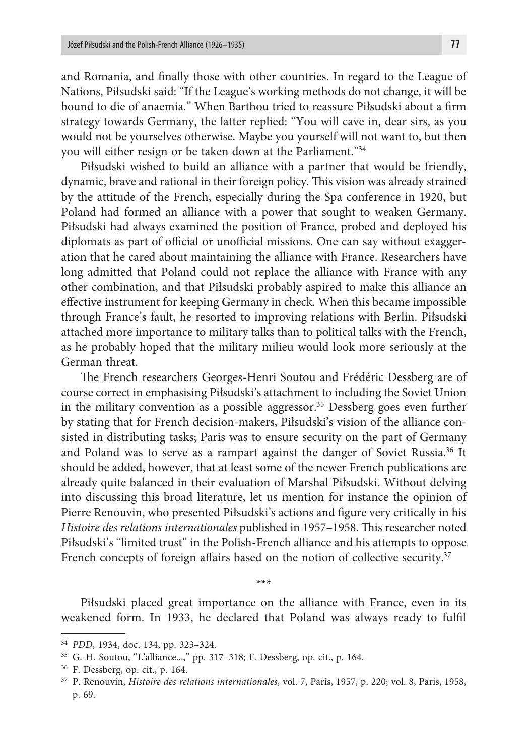and Romania, and finally those with other countries. In regard to the League of Nations, Piłsudski said: "If the League's working methods do not change, it will be bound to die of anaemia." When Barthou tried to reassure Piłsudski about a firm strategy towards Germany, the latter replied: "You will cave in, dear sirs, as you would not be yourselves otherwise. Maybe you yourself will not want to, but then you will either resign or be taken down at the Parliament."34

Piłsudski wished to build an alliance with a partner that would be friendly, dynamic, brave and rational in their foreign policy. This vision was already strained by the attitude of the French, especially during the Spa conference in 1920, but Poland had formed an alliance with a power that sought to weaken Germany. Piłsudski had always examined the position of France, probed and deployed his diplomats as part of official or unofficial missions. One can say without exaggeration that he cared about maintaining the alliance with France. Researchers have long admitted that Poland could not replace the alliance with France with any other combination, and that Piłsudski probably aspired to make this alliance an effective instrument for keeping Germany in check. When this became impossible through France's fault, he resorted to improving relations with Berlin. Piłsudski attached more importance to military talks than to political talks with the French, as he probably hoped that the military milieu would look more seriously at the German threat.

The French researchers Georges-Henri Soutou and Frédéric Dessberg are of course correct in emphasising Piłsudski's attachment to including the Soviet Union in the military convention as a possible aggressor.<sup>35</sup> Dessberg goes even further by stating that for French decision-makers, Piłsudski's vision of the alliance consisted in distributing tasks; Paris was to ensure security on the part of Germany and Poland was to serve as a rampart against the danger of Soviet Russia.<sup>36</sup> It should be added, however, that at least some of the newer French publications are already quite balanced in their evaluation of Marshal Piłsudski. Without delving into discussing this broad literature, let us mention for instance the opinion of Pierre Renouvin, who presented Piłsudski's actions and figure very critically in his *Histoire des relations internationales* published in 1957–1958. This researcher noted Piłsudski's "limited trust" in the Polish-French alliance and his attempts to oppose French concepts of foreign affairs based on the notion of collective security.<sup>37</sup>

Piłsudski placed great importance on the alliance with France, even in its weakened form. In 1933, he declared that Poland was always ready to fulfil

\*\*\*

<sup>34</sup> *PDD*, 1934, doc. 134, pp. 323–324.

<sup>35</sup> G.-H. Soutou, "L'alliance...," pp. 317–318; F. Dessberg, op. cit., p. 164.

<sup>36</sup> F. Dessberg, op. cit., p. 164.

<sup>37</sup> P. Renouvin, *Histoire des relations internationales*, vol. 7, Paris, 1957, p. 220; vol. 8, Paris, 1958, p. 69.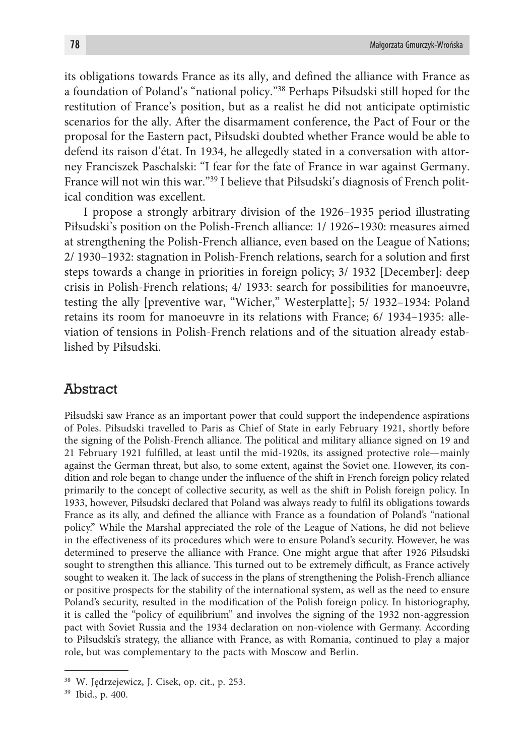its obligations towards France as its ally, and defined the alliance with France as a foundation of Poland's "national policy."38 Perhaps Piłsudski still hoped for the restitution of France's position, but as a realist he did not anticipate optimistic scenarios for the ally. After the disarmament conference, the Pact of Four or the proposal for the Eastern pact, Piłsudski doubted whether France would be able to defend its raison d'état. In 1934, he allegedly stated in a conversation with attorney Franciszek Paschalski: "I fear for the fate of France in war against Germany. France will not win this war."39 I believe that Piłsudski's diagnosis of French political condition was excellent.

I propose a strongly arbitrary division of the 1926–1935 period illustrating Piłsudski's position on the Polish-French alliance: 1/ 1926–1930: measures aimed at strengthening the Polish-French alliance, even based on the League of Nations; 2/ 1930–1932: stagnation in Polish-French relations, search for a solution and first steps towards a change in priorities in foreign policy; 3/ 1932 [December]: deep crisis in Polish-French relations; 4/ 1933: search for possibilities for manoeuvre, testing the ally [preventive war, "Wicher," Westerplatte]; 5/ 1932–1934: Poland retains its room for manoeuvre in its relations with France; 6/ 1934–1935: alleviation of tensions in Polish-French relations and of the situation already established by Piłsudski.

#### **Abstract**

Piłsudski saw France as an important power that could support the independence aspirations of Poles. Piłsudski travelled to Paris as Chief of State in early February 1921, shortly before the signing of the Polish-French alliance. The political and military alliance signed on 19 and 21 February 1921 fulfilled, at least until the mid-1920s, its assigned protective role—mainly against the German threat, but also, to some extent, against the Soviet one. However, its condition and role began to change under the influence of the shift in French foreign policy related primarily to the concept of collective security, as well as the shift in Polish foreign policy. In 1933, however, Piłsudski declared that Poland was always ready to fulfil its obligations towards France as its ally, and defined the alliance with France as a foundation of Poland's "national policy." While the Marshal appreciated the role of the League of Nations, he did not believe in the effectiveness of its procedures which were to ensure Poland's security. However, he was determined to preserve the alliance with France. One might argue that after 1926 Piłsudski sought to strengthen this alliance. This turned out to be extremely difficult, as France actively sought to weaken it. The lack of success in the plans of strengthening the Polish-French alliance or positive prospects for the stability of the international system, as well as the need to ensure Poland's security, resulted in the modification of the Polish foreign policy. In historiography, it is called the "policy of equilibrium" and involves the signing of the 1932 non-aggression pact with Soviet Russia and the 1934 declaration on non-violence with Germany. According to Piłsudski's strategy, the alliance with France, as with Romania, continued to play a major role, but was complementary to the pacts with Moscow and Berlin.

<sup>38</sup> W. Jędrzejewicz, J. Cisek, op. cit., p. 253.

<sup>39</sup> Ibid., p. 400.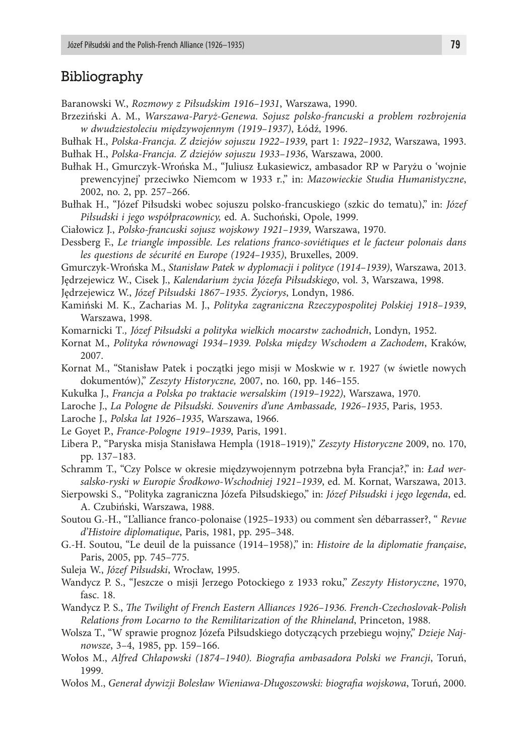#### Bibliography

Baranowski W., *Rozmowy z Piłsudskim 1916–1931*, Warszawa, 1990.

Brzeziński A. M., *Warszawa-Paryż-Genewa. Sojusz polsko-francuski a problem rozbrojenia w dwudziestoleciu międzywojennym (1919–1937)*, Łódź, 1996.

Bułhak H., *Polska-Francja. Z dziejów sojuszu 1922–1939*, part 1: *1922–1932*, Warszawa, 1993. Bułhak H., *Polska-Francja. Z dziejów sojuszu 1933–1936*, Warszawa, 2000.

- Bułhak H., Gmurczyk-Wrońska M., "Juliusz Łukasiewicz, ambasador RP w Paryżu o 'wojnie prewencyjnej' przeciwko Niemcom w 1933 r.," in: *Mazowieckie Studia Humanistyczne*, 2002, no. 2, pp. 257–266.
- Bułhak H., "Józef Piłsudski wobec sojuszu polsko-francuskiego (szkic do tematu)," in: *Józef Piłsudski i jego współpracownicy,* ed. A. Suchoński, Opole, 1999.

Ciałowicz J., *Polsko-francuski sojusz wojskowy 1921–1939*, Warszawa, 1970.

- Dessberg F., *Le triangle impossible. Les relations franco-soviétiques et le facteur polonais dans les questions de sécurité en Europe (1924–1935)*, Bruxelles, 2009.
- Gmurczyk-Wrońska M., *Stanisław Patek w dyplomacji i polityce (1914–1939)*, Warszawa, 2013.

Jędrzejewicz W., Cisek J., *Kalendarium życia Józefa Piłsudskiego*, vol. 3, Warszawa, 1998.

Jędrzejewicz W., *Józef Piłsudski 1867–1935. Życiorys*, Londyn, 1986.

Kamiński M. K., Zacharias M. J., *Polityka zagraniczna Rzeczypospolitej Polskiej 1918–1939*, Warszawa, 1998.

Komarnicki T*., Józef Piłsudski a polityka wielkich mocarstw zachodnich*, Londyn, 1952.

- Kornat M., *Polityka równowagi 1934–1939. Polska między Wschodem a Zachodem*, Kraków, 2007.
- Kornat M., "Stanisław Patek i początki jego misji w Moskwie w r. 1927 (w świetle nowych dokumentów)," *Zeszyty Historyczne,* 2007, no. 160, pp. 146–155.
- Kukułka J., *Francja a Polska po traktacie wersalskim (1919–1922)*, Warszawa, 1970.
- Laroche J., *La Pologne de Piłsudski. Souvenirs d'une Ambassade, 1926–1935*, Paris, 1953.
- Laroche J., *Polska lat 1926–1935*, Warszawa, 1966.
- Le Goyet P., *France-Pologne 1919–1939*, Paris, 1991.
- Libera P., "Paryska misja Stanisława Hempla (1918–1919)," *Zeszyty Historyczne* 2009, no. 170, pp. 137–183.
- Schramm T., "Czy Polsce w okresie międzywojennym potrzebna była Francja?," in: *Ład wersalsko-ryski w Europie Środkowo-Wschodniej 1921–1939*, ed. M. Kornat, Warszawa, 2013.
- Sierpowski S., "Polityka zagraniczna Józefa Piłsudskiego," in: *Józef Piłsudski i jego legenda*, ed. A. Czubiński, Warszawa, 1988.
- Soutou G.-H., "L'alliance franco-polonaise (1925–1933) ou comment s'en débarrasser?, " *Revue d'Histoire diplomatique*, Paris, 1981, pp. 295–348.
- G.-H. Soutou, "Le deuil de la puissance (1914–1958)," in: *Histoire de la diplomatie française*, Paris, 2005, pp. 745–775.
- Suleja W., *Józef Piłsudski*, Wrocław, 1995.
- Wandycz P. S., "Jeszcze o misji Jerzego Potockiego z 1933 roku," *Zeszyty Historyczne*, 1970, fasc. 18.
- Wandycz P. S., *The Twilight of French Eastern Alliances 1926–1936. French-Czechoslovak-Polish Relations from Locarno to the Remilitarization of the Rhineland*, Princeton, 1988.
- Wolsza T., "W sprawie prognoz Józefa Piłsudskiego dotyczących przebiegu wojny," *Dzieje Najnowsze*, 3–4, 1985, pp. 159–166.
- Wołos M., *Alfred Chłapowski (1874–1940). Biografia ambasadora Polski we Francji*, Toruń, 1999.
- Wołos M., *Generał dywizji Bolesław Wieniawa-Długoszowski: biografia wojskowa*, Toruń, 2000.